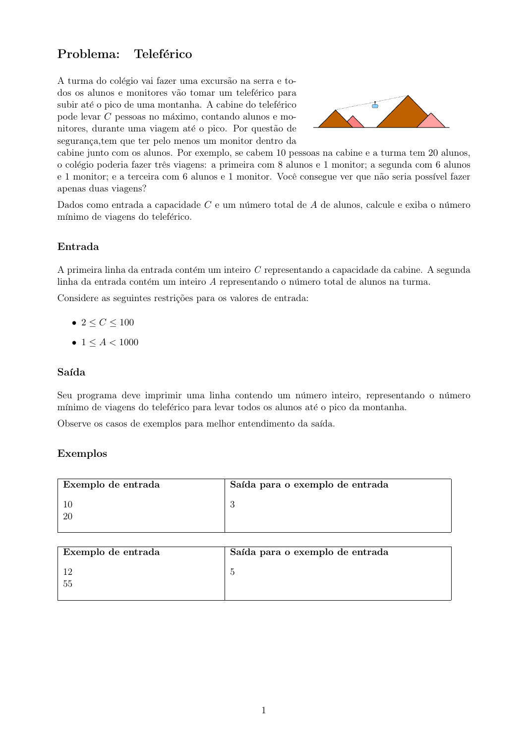# Problema: Teleférico

A turma do colégio vai fazer uma excursão na serra e todos os alunos e monitores vão tomar um teleférico para subir até o pico de uma montanha. A cabine do teleférico pode levar  $C$  pessoas no máximo, contando alunos e monitores, durante uma viagem até o pico. Por questão de segurança, tem que ter pelo menos um monitor dentro da



cabine junto com os alunos. Por exemplo, se cabem 10 pessoas na cabine e a turma tem 20 alunos, o colégio poderia fazer três viagens: a primeira com 8 alunos e 1 monitor; a segunda com 6 alunos e 1 monitor; e a terceira com 6 alunos e 1 monitor. Você consegue ver que não seria possível fazer apenas duas viagens?

Dados como entrada a capacidade  $C$  e um número total de  $A$  de alunos, calcule e exiba o número mínimo de viagens do teleférico.

### Entrada

A primeira linha da entrada contém um inteiro  $C$  representando a capacidade da cabine. A segunda linha da entrada contém um inteiro A representando o número total de alunos na turma.

Considere as seguintes restrições para os valores de entrada:

- $2 \le C \le 100$
- $1 \leq A < 1000$

#### Saída

Seu programa deve imprimir uma linha contendo um número inteiro, representando o número mínimo de viagens do teleférico para levar todos os alunos até o pico da montanha.

Observe os casos de exemplos para melhor entendimento da saída.

#### Exemplos

| Exemplo de entrada | Saída para o exemplo de entrada |
|--------------------|---------------------------------|
|                    |                                 |
|                    |                                 |

| Exemplo de entrada | Saída para o exemplo de entrada |
|--------------------|---------------------------------|
|                    |                                 |
|                    |                                 |